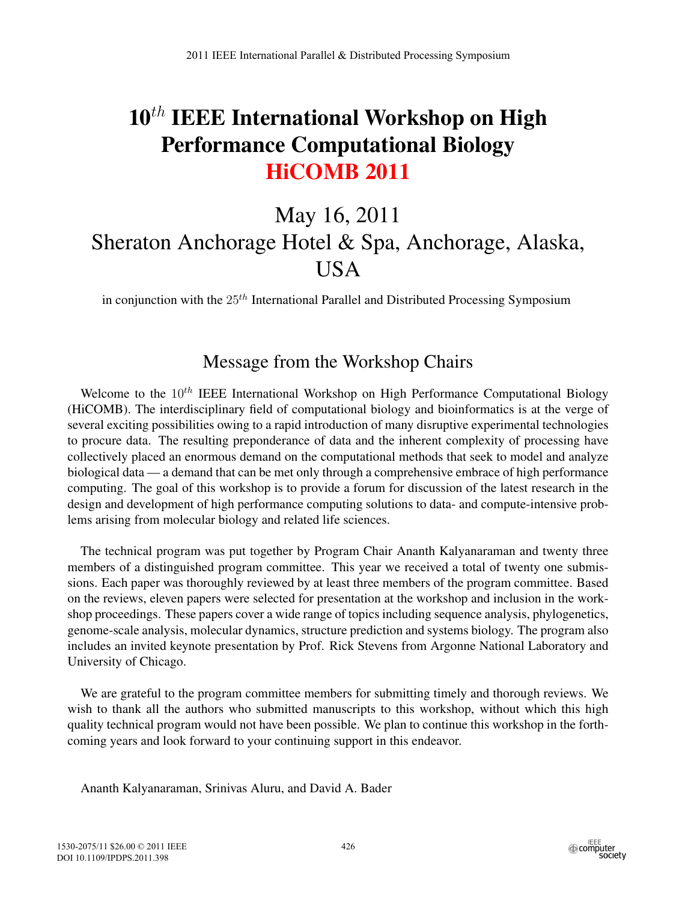## $10<sup>th</sup>$  IEEE International Workshop on High Performance Computational Biology HiCOMB 2011

## May 16, 2011 Sheraton Anchorage Hotel & Spa, Anchorage, Alaska, **USA**

in conjunction with the  $25<sup>th</sup>$  International Parallel and Distributed Processing Symposium

## Message from the Workshop Chairs

Welcome to the  $10^{th}$  IEEE International Workshop on High Performance Computational Biology (HiCOMB). The interdisciplinary field of computational biology and bioinformatics is at the verge of several exciting possibilities owing to a rapid introduction of many disruptive experimental technologies to procure data. The resulting preponderance of data and the inherent complexity of processing have collectively placed an enormous demand on the computational methods that seek to model and analyze biological data — a demand that can be met only through a comprehensive embrace of high performance computing. The goal of this workshop is to provide a forum for discussion of the latest research in the design and development of high performance computing solutions to data- and compute-intensive problems arising from molecular biology and related life sciences.

The technical program was put together by Program Chair Ananth Kalyanaraman and twenty three members of a distinguished program committee. This year we received a total of twenty one submissions. Each paper was thoroughly reviewed by at least three members of the program committee. Based on the reviews, eleven papers were selected for presentation at the workshop and inclusion in the workshop proceedings. These papers cover a wide range of topics including sequence analysis, phylogenetics, genome-scale analysis, molecular dynamics, structure prediction and systems biology. The program also includes an invited keynote presentation by Prof. Rick Stevens from Argonne National Laboratory and University of Chicago.

We are grateful to the program committee members for submitting timely and thorough reviews. We wish to thank all the authors who submitted manuscripts to this workshop, without which this high quality technical program would not have been possible. We plan to continue this workshop in the forthcoming years and look forward to your continuing support in this endeavor.

Ananth Kalyanaraman, Srinivas Aluru, and David A. Bader